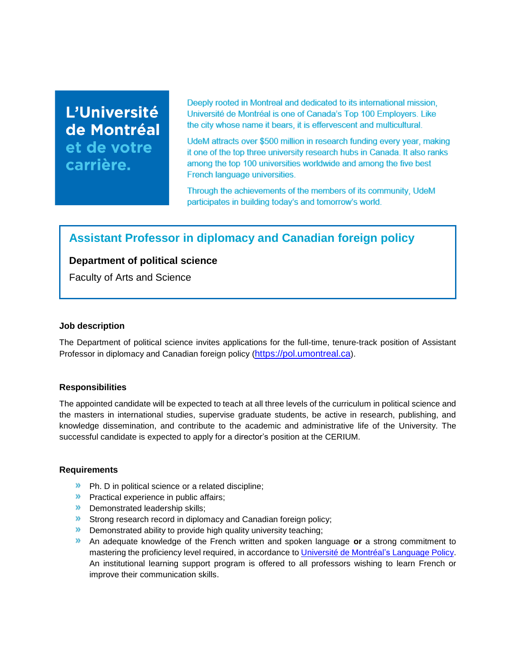# L'Université de Montréal et de votre carrière.

Deeply rooted in Montreal and dedicated to its international mission, Université de Montréal is one of Canada's Top 100 Employers. Like the city whose name it bears, it is effervescent and multicultural.

UdeM attracts over \$500 million in research funding every year, making it one of the top three university research hubs in Canada. It also ranks among the top 100 universities worldwide and among the five best French language universities.

Through the achievements of the members of its community, UdeM participates in building today's and tomorrow's world.

# **Assistant Professor in diplomacy and Canadian foreign policy**

# **Department of political science**

Faculty of Arts and Science

## **Job description**

The Department of political science invites applications for the full-time, tenure-track position of Assistant Professor in diplomacy and Canadian foreign policy ([https://pol.umontreal.ca](https://pol.umontreal.ca/)).

## **Responsibilities**

The appointed candidate will be expected to teach at all three levels of the curriculum in political science and the masters in international studies, supervise graduate students, be active in research, publishing, and knowledge dissemination, and contribute to the academic and administrative life of the University. The successful candidate is expected to apply for a director's position at the CERIUM.

## **Requirements**

- **»** Ph. D in political science or a related discipline;
- **Practical experience in public affairs;**
- **Demonstrated leadership skills;**
- **Strong research record in diplomacy and Canadian foreign policy;**
- **Demonstrated ability to provide high quality university teaching;**
- An adequate knowledge of the French written and spoken language **or** a strong commitment to mastering the proficiency level required, in accordance to [Université de Montréal's](https://francais.umontreal.ca/politique-linguistique/la-politique-linguistique-en-bref/) Language Policy. An institutional learning support program is offered to all professors wishing to learn French or improve their communication skills.